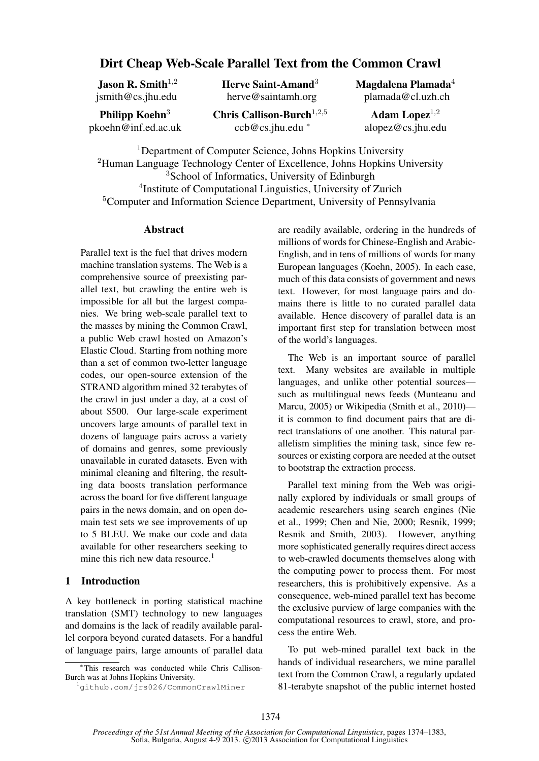# Dirt Cheap Web-Scale Parallel Text from the Common Crawl

Jason R. Smith $1,2$ jsmith@cs.jhu.edu Herve Saint-Amand<sup>3</sup> herve@saintamh.org

Philipp Koehn<sup>3</sup> pkoehn@inf.ed.ac.uk Chris Callison-Burch $^{1,2,5}$ ccb@cs.jhu.edu <sup>∗</sup>

Magdalena Plamada<sup>4</sup> plamada@cl.uzh.ch

Adam Lopez $1,2$ alopez@cs.jhu.edu

<sup>1</sup>Department of Computer Science, Johns Hopkins University <sup>2</sup>Human Language Technology Center of Excellence, Johns Hopkins University <sup>3</sup>School of Informatics, University of Edinburgh 4 Institute of Computational Linguistics, University of Zurich <sup>5</sup>Computer and Information Science Department, University of Pennsylvania

## **Abstract**

Parallel text is the fuel that drives modern machine translation systems. The Web is a comprehensive source of preexisting parallel text, but crawling the entire web is impossible for all but the largest companies. We bring web-scale parallel text to the masses by mining the Common Crawl, a public Web crawl hosted on Amazon's Elastic Cloud. Starting from nothing more than a set of common two-letter language codes, our open-source extension of the STRAND algorithm mined 32 terabytes of the crawl in just under a day, at a cost of about \$500. Our large-scale experiment uncovers large amounts of parallel text in dozens of language pairs across a variety of domains and genres, some previously unavailable in curated datasets. Even with minimal cleaning and filtering, the resulting data boosts translation performance across the board for five different language pairs in the news domain, and on open domain test sets we see improvements of up to 5 BLEU. We make our code and data available for other researchers seeking to mine this rich new data resource.<sup>1</sup>

# 1 Introduction

A key bottleneck in porting statistical machine translation (SMT) technology to new languages and domains is the lack of readily available parallel corpora beyond curated datasets. For a handful of language pairs, large amounts of parallel data are readily available, ordering in the hundreds of millions of words for Chinese-English and Arabic-English, and in tens of millions of words for many European languages (Koehn, 2005). In each case, much of this data consists of government and news text. However, for most language pairs and domains there is little to no curated parallel data available. Hence discovery of parallel data is an important first step for translation between most of the world's languages.

The Web is an important source of parallel text. Many websites are available in multiple languages, and unlike other potential sources such as multilingual news feeds (Munteanu and Marcu, 2005) or Wikipedia (Smith et al., 2010) it is common to find document pairs that are direct translations of one another. This natural parallelism simplifies the mining task, since few resources or existing corpora are needed at the outset to bootstrap the extraction process.

Parallel text mining from the Web was originally explored by individuals or small groups of academic researchers using search engines (Nie et al., 1999; Chen and Nie, 2000; Resnik, 1999; Resnik and Smith, 2003). However, anything more sophisticated generally requires direct access to web-crawled documents themselves along with the computing power to process them. For most researchers, this is prohibitively expensive. As a consequence, web-mined parallel text has become the exclusive purview of large companies with the computational resources to crawl, store, and process the entire Web.

To put web-mined parallel text back in the hands of individual researchers, we mine parallel text from the Common Crawl, a regularly updated 81-terabyte snapshot of the public internet hosted

<sup>∗</sup> This research was conducted while Chris Callison-Burch was at Johns Hopkins University.

<sup>1</sup>github.com/jrs026/CommonCrawlMiner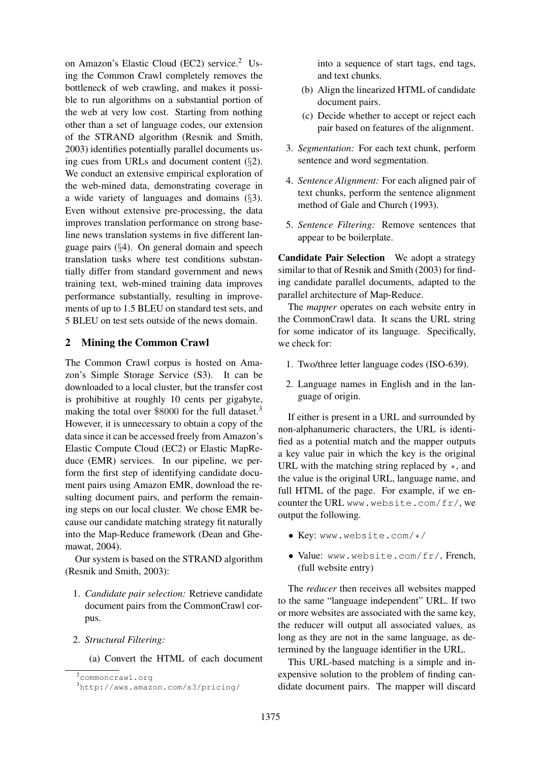on Amazon's Elastic Cloud (EC2) service.<sup>2</sup> Using the Common Crawl completely removes the bottleneck of web crawling, and makes it possible to run algorithms on a substantial portion of the web at very low cost. Starting from nothing other than a set of language codes, our extension of the STRAND algorithm (Resnik and Smith, 2003) identifies potentially parallel documents using cues from URLs and document content  $(\S2)$ . We conduct an extensive empirical exploration of the web-mined data, demonstrating coverage in a wide variety of languages and domains  $(\S3)$ . Even without extensive pre-processing, the data improves translation performance on strong baseline news translation systems in five different language pairs (§4). On general domain and speech translation tasks where test conditions substantially differ from standard government and news training text, web-mined training data improves performance substantially, resulting in improvements of up to 1.5 BLEU on standard test sets, and 5 BLEU on test sets outside of the news domain.

# 2 Mining the Common Crawl

The Common Crawl corpus is hosted on Amazon's Simple Storage Service (S3). It can be downloaded to a local cluster, but the transfer cost is prohibitive at roughly 10 cents per gigabyte, making the total over \$8000 for the full dataset.<sup>3</sup> However, it is unnecessary to obtain a copy of the data since it can be accessed freely from Amazon's Elastic Compute Cloud (EC2) or Elastic MapReduce (EMR) services. In our pipeline, we perform the first step of identifying candidate document pairs using Amazon EMR, download the resulting document pairs, and perform the remaining steps on our local cluster. We chose EMR because our candidate matching strategy fit naturally into the Map-Reduce framework (Dean and Ghemawat, 2004).

Our system is based on the STRAND algorithm (Resnik and Smith, 2003):

- 1. *Candidate pair selection:* Retrieve candidate document pairs from the CommonCrawl corpus.
- 2. *Structural Filtering:*

(a) Convert the HTML of each document

into a sequence of start tags, end tags, and text chunks.

- (b) Align the linearized HTML of candidate document pairs.
- (c) Decide whether to accept or reject each pair based on features of the alignment.
- 3. *Segmentation:* For each text chunk, perform sentence and word segmentation.
- 4. *Sentence Alignment:* For each aligned pair of text chunks, perform the sentence alignment method of Gale and Church (1993).
- 5. *Sentence Filtering:* Remove sentences that appear to be boilerplate.

Candidate Pair Selection We adopt a strategy similar to that of Resnik and Smith (2003) for finding candidate parallel documents, adapted to the parallel architecture of Map-Reduce.

The *mapper* operates on each website entry in the CommonCrawl data. It scans the URL string for some indicator of its language. Specifically, we check for:

- 1. Two/three letter language codes (ISO-639).
- 2. Language names in English and in the language of origin.

If either is present in a URL and surrounded by non-alphanumeric characters, the URL is identified as a potential match and the mapper outputs a key value pair in which the key is the original URL with the matching string replaced by  $\star$ , and the value is the original URL, language name, and full HTML of the page. For example, if we encounter the URL www.website.com/fr/, we output the following.

- Key: www.website.com/\*/
- Value: www.website.com/fr/, French, (full website entry)

The *reducer* then receives all websites mapped to the same "language independent" URL. If two or more websites are associated with the same key, the reducer will output all associated values, as long as they are not in the same language, as determined by the language identifier in the URL.

This URL-based matching is a simple and inexpensive solution to the problem of finding candidate document pairs. The mapper will discard

<sup>2</sup>commoncrawl.org

<sup>3</sup>http://aws.amazon.com/s3/pricing/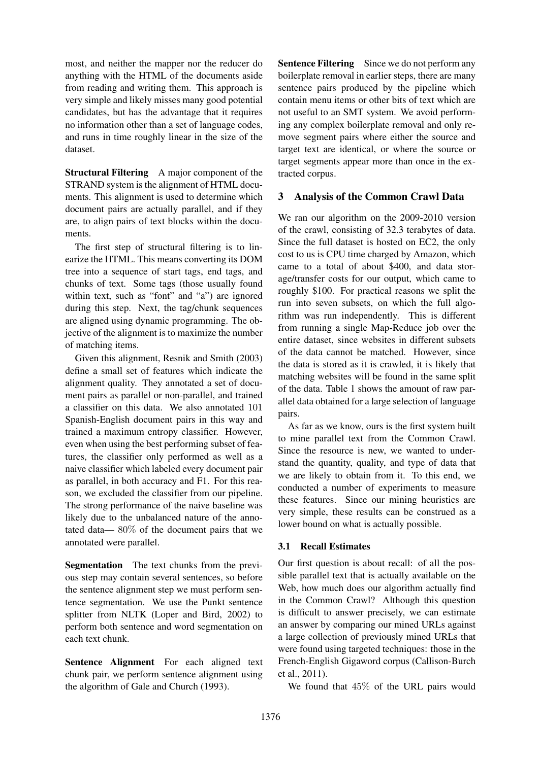most, and neither the mapper nor the reducer do anything with the HTML of the documents aside from reading and writing them. This approach is very simple and likely misses many good potential candidates, but has the advantage that it requires no information other than a set of language codes, and runs in time roughly linear in the size of the dataset.

Structural Filtering A major component of the STRAND system is the alignment of HTML documents. This alignment is used to determine which document pairs are actually parallel, and if they are, to align pairs of text blocks within the documents.

The first step of structural filtering is to linearize the HTML. This means converting its DOM tree into a sequence of start tags, end tags, and chunks of text. Some tags (those usually found within text, such as "font" and "a") are ignored during this step. Next, the tag/chunk sequences are aligned using dynamic programming. The objective of the alignment is to maximize the number of matching items.

Given this alignment, Resnik and Smith (2003) define a small set of features which indicate the alignment quality. They annotated a set of document pairs as parallel or non-parallel, and trained a classifier on this data. We also annotated 101 Spanish-English document pairs in this way and trained a maximum entropy classifier. However, even when using the best performing subset of features, the classifier only performed as well as a naive classifier which labeled every document pair as parallel, in both accuracy and F1. For this reason, we excluded the classifier from our pipeline. The strong performance of the naive baseline was likely due to the unbalanced nature of the annotated data— 80% of the document pairs that we annotated were parallel.

Segmentation The text chunks from the previous step may contain several sentences, so before the sentence alignment step we must perform sentence segmentation. We use the Punkt sentence splitter from NLTK (Loper and Bird, 2002) to perform both sentence and word segmentation on each text chunk.

Sentence Alignment For each aligned text chunk pair, we perform sentence alignment using the algorithm of Gale and Church (1993).

Sentence Filtering Since we do not perform any boilerplate removal in earlier steps, there are many sentence pairs produced by the pipeline which contain menu items or other bits of text which are not useful to an SMT system. We avoid performing any complex boilerplate removal and only remove segment pairs where either the source and target text are identical, or where the source or target segments appear more than once in the extracted corpus.

# 3 Analysis of the Common Crawl Data

We ran our algorithm on the 2009-2010 version of the crawl, consisting of 32.3 terabytes of data. Since the full dataset is hosted on EC2, the only cost to us is CPU time charged by Amazon, which came to a total of about \$400, and data storage/transfer costs for our output, which came to roughly \$100. For practical reasons we split the run into seven subsets, on which the full algorithm was run independently. This is different from running a single Map-Reduce job over the entire dataset, since websites in different subsets of the data cannot be matched. However, since the data is stored as it is crawled, it is likely that matching websites will be found in the same split of the data. Table 1 shows the amount of raw parallel data obtained for a large selection of language pairs.

As far as we know, ours is the first system built to mine parallel text from the Common Crawl. Since the resource is new, we wanted to understand the quantity, quality, and type of data that we are likely to obtain from it. To this end, we conducted a number of experiments to measure these features. Since our mining heuristics are very simple, these results can be construed as a lower bound on what is actually possible.

# 3.1 Recall Estimates

Our first question is about recall: of all the possible parallel text that is actually available on the Web, how much does our algorithm actually find in the Common Crawl? Although this question is difficult to answer precisely, we can estimate an answer by comparing our mined URLs against a large collection of previously mined URLs that were found using targeted techniques: those in the French-English Gigaword corpus (Callison-Burch et al., 2011).

We found that 45% of the URL pairs would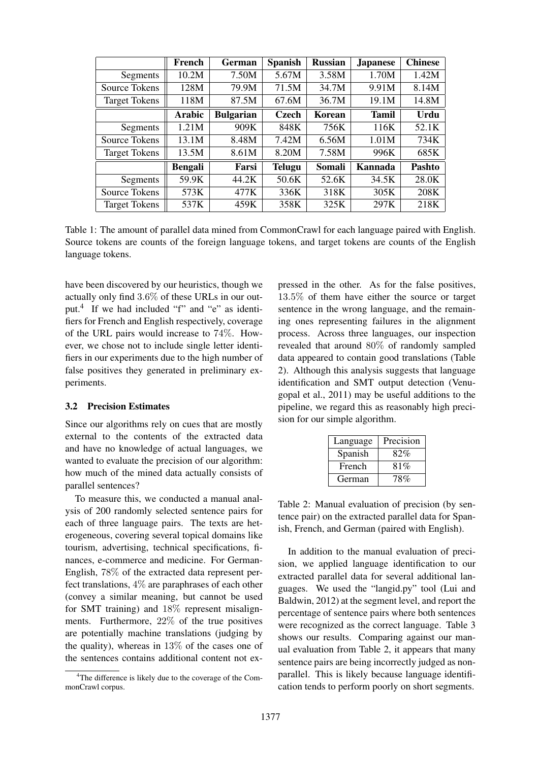|                      | French        | German           | <b>Spanish</b> | <b>Russian</b> | <b>Japanese</b> | <b>Chinese</b> |
|----------------------|---------------|------------------|----------------|----------------|-----------------|----------------|
| Segments             | 10.2M         | 7.50M            | 5.67M          | 3.58M          | 1.70M           | 1.42M          |
| Source Tokens        | 128M          | 79.9M            | 71.5M          | 34.7M          | 9.91M           | 8.14M          |
| <b>Target Tokens</b> | 118M          | 87.5M            | 67.6M          | 36.7M          | 19.1M           | 14.8M          |
|                      | <b>Arabic</b> | <b>Bulgarian</b> | <b>Czech</b>   | Korean         | <b>Tamil</b>    | Urdu           |
| Segments             | 1.21M         | 909K             | 848K           | 756K           | 116K            | 52.1K          |
| Source Tokens        | 13.1M         | 8.48M            | 7.42M          | 6.56M          | 1.01M           | 734K           |
| <b>Target Tokens</b> | 13.5M         | 8.61M            | 8.20M          | 7.58M          | 996K            | 685K           |
|                      | Bengali       | Farsi            | <b>Telugu</b>  | Somali         | Kannada         | <b>Pashto</b>  |
| Segments             | 59.9K         | 44.2K            | 50.6K          | 52.6K          | 34.5K           | 28.0K          |
| Source Tokens        | 573K          | 477K             | 336K           | 318K           | 305K            | 208K           |
| <b>Target Tokens</b> | 537K          | 459K             | 358K           | 325K           | 297K            | 218K           |

Table 1: The amount of parallel data mined from CommonCrawl for each language paired with English. Source tokens are counts of the foreign language tokens, and target tokens are counts of the English language tokens.

have been discovered by our heuristics, though we actually only find 3.6% of these URLs in our output.<sup>4</sup> If we had included "f" and "e" as identifiers for French and English respectively, coverage of the URL pairs would increase to 74%. However, we chose not to include single letter identifiers in our experiments due to the high number of false positives they generated in preliminary experiments.

#### 3.2 Precision Estimates

Since our algorithms rely on cues that are mostly external to the contents of the extracted data and have no knowledge of actual languages, we wanted to evaluate the precision of our algorithm: how much of the mined data actually consists of parallel sentences?

To measure this, we conducted a manual analysis of 200 randomly selected sentence pairs for each of three language pairs. The texts are heterogeneous, covering several topical domains like tourism, advertising, technical specifications, finances, e-commerce and medicine. For German-English, 78% of the extracted data represent perfect translations, 4% are paraphrases of each other (convey a similar meaning, but cannot be used for SMT training) and 18% represent misalignments. Furthermore, 22% of the true positives are potentially machine translations (judging by the quality), whereas in 13% of the cases one of the sentences contains additional content not expressed in the other. As for the false positives, 13.5% of them have either the source or target sentence in the wrong language, and the remaining ones representing failures in the alignment process. Across three languages, our inspection revealed that around 80% of randomly sampled data appeared to contain good translations (Table 2). Although this analysis suggests that language identification and SMT output detection (Venugopal et al., 2011) may be useful additions to the pipeline, we regard this as reasonably high precision for our simple algorithm.

| Language | Precision |
|----------|-----------|
| Spanish  | 82%       |
| French   | 81%       |
| German   | 78%       |

Table 2: Manual evaluation of precision (by sentence pair) on the extracted parallel data for Spanish, French, and German (paired with English).

In addition to the manual evaluation of precision, we applied language identification to our extracted parallel data for several additional languages. We used the "langid.py" tool (Lui and Baldwin, 2012) at the segment level, and report the percentage of sentence pairs where both sentences were recognized as the correct language. Table 3 shows our results. Comparing against our manual evaluation from Table 2, it appears that many sentence pairs are being incorrectly judged as nonparallel. This is likely because language identification tends to perform poorly on short segments.

<sup>&</sup>lt;sup>4</sup>The difference is likely due to the coverage of the CommonCrawl corpus.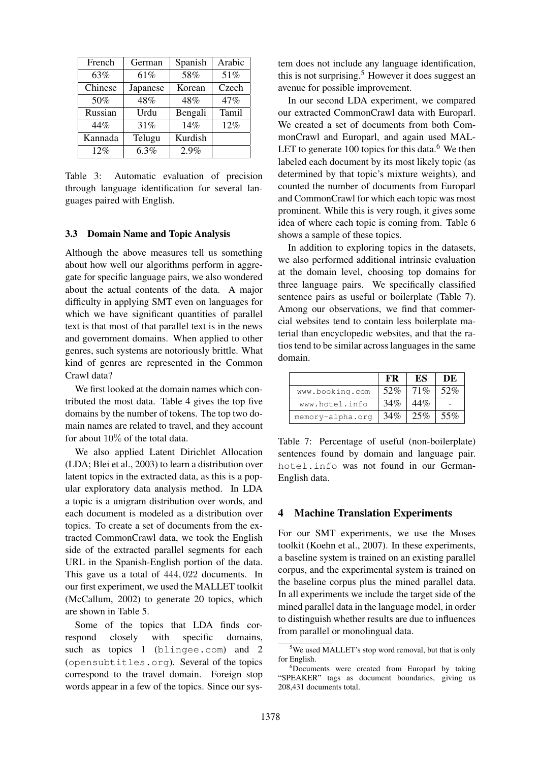| French  | German   | Spanish | Arabic |
|---------|----------|---------|--------|
| 63%     | 61%      | 58%     | 51%    |
| Chinese | Japanese | Korean  | Czech  |
| 50%     | 48%      | 48%     | 47%    |
| Russian | Urdu     | Bengali | Tamil  |
| 44%     | 31%      | 14%     | 12%    |
| Kannada | Telugu   | Kurdish |        |
| 12%     | $6.3\%$  | 2.9%    |        |

Table 3: Automatic evaluation of precision through language identification for several languages paired with English.

#### 3.3 Domain Name and Topic Analysis

Although the above measures tell us something about how well our algorithms perform in aggregate for specific language pairs, we also wondered about the actual contents of the data. A major difficulty in applying SMT even on languages for which we have significant quantities of parallel text is that most of that parallel text is in the news and government domains. When applied to other genres, such systems are notoriously brittle. What kind of genres are represented in the Common Crawl data?

We first looked at the domain names which contributed the most data. Table 4 gives the top five domains by the number of tokens. The top two domain names are related to travel, and they account for about 10% of the total data.

We also applied Latent Dirichlet Allocation (LDA; Blei et al., 2003) to learn a distribution over latent topics in the extracted data, as this is a popular exploratory data analysis method. In LDA a topic is a unigram distribution over words, and each document is modeled as a distribution over topics. To create a set of documents from the extracted CommonCrawl data, we took the English side of the extracted parallel segments for each URL in the Spanish-English portion of the data. This gave us a total of 444, 022 documents. In our first experiment, we used the MALLET toolkit (McCallum, 2002) to generate 20 topics, which are shown in Table 5.

Some of the topics that LDA finds correspond closely with specific domains, such as topics 1 (blingee.com) and 2 (opensubtitles.org). Several of the topics correspond to the travel domain. Foreign stop words appear in a few of the topics. Since our system does not include any language identification, this is not surprising.<sup>5</sup> However it does suggest an avenue for possible improvement.

In our second LDA experiment, we compared our extracted CommonCrawl data with Europarl. We created a set of documents from both CommonCrawl and Europarl, and again used MAL-LET to generate  $100$  topics for this data.<sup>6</sup> We then labeled each document by its most likely topic (as determined by that topic's mixture weights), and counted the number of documents from Europarl and CommonCrawl for which each topic was most prominent. While this is very rough, it gives some idea of where each topic is coming from. Table 6 shows a sample of these topics.

In addition to exploring topics in the datasets, we also performed additional intrinsic evaluation at the domain level, choosing top domains for three language pairs. We specifically classified sentence pairs as useful or boilerplate (Table 7). Among our observations, we find that commercial websites tend to contain less boilerplate material than encyclopedic websites, and that the ratios tend to be similar across languages in the same domain.

|                  | кк  | ES  | DЕ  |
|------------------|-----|-----|-----|
| www.booking.com  | 52% | 71% | 52% |
| www.hotel.info   | 34% | 44% |     |
| memory-alpha.org | 34% | 25% | 55% |

Table 7: Percentage of useful (non-boilerplate) sentences found by domain and language pair. hotel.info was not found in our German-English data.

#### 4 Machine Translation Experiments

For our SMT experiments, we use the Moses toolkit (Koehn et al., 2007). In these experiments, a baseline system is trained on an existing parallel corpus, and the experimental system is trained on the baseline corpus plus the mined parallel data. In all experiments we include the target side of the mined parallel data in the language model, in order to distinguish whether results are due to influences from parallel or monolingual data.

<sup>&</sup>lt;sup>5</sup>We used MALLET's stop word removal, but that is only for English.

<sup>6</sup>Documents were created from Europarl by taking "SPEAKER" tags as document boundaries, giving us 208,431 documents total.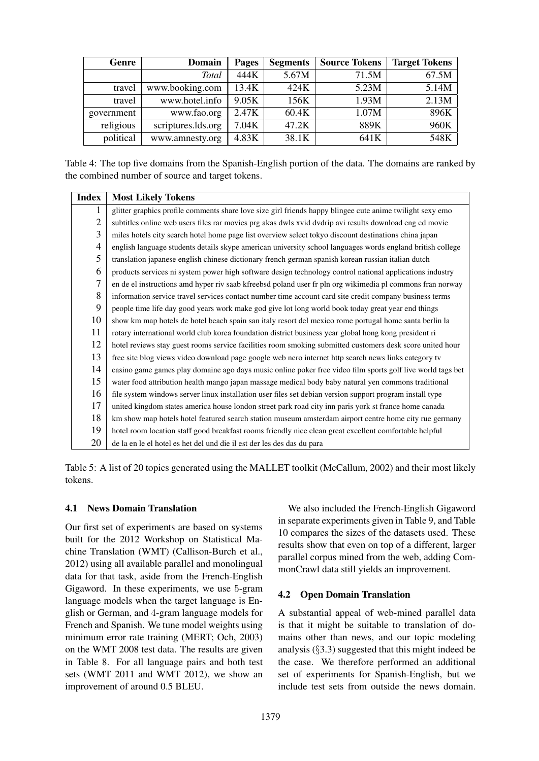| Genre      | <b>Domain</b>      | Pages | <b>Segments</b> | <b>Source Tokens</b> | <b>Target Tokens</b> |
|------------|--------------------|-------|-----------------|----------------------|----------------------|
|            | <b>Total</b>       | 444K  | 5.67M           | 71.5M                | 67.5M                |
| travel     | www.booking.com    | 13.4K | 424K            | 5.23M                | 5.14M                |
| travel     | www.hotel.info     | 9.05K | 156K            | 1.93M                | 2.13M                |
| government | www.fao.org        | 2.47K | 60.4K           | 1.07M                | 896K                 |
| religious  | scriptures.lds.org | 7.04K | 47.2K           | 889K                 | 960K                 |
| political  | www.amnesty.org    | 4.83K | 38.1K           | 641K                 | 548K                 |

Table 4: The top five domains from the Spanish-English portion of the data. The domains are ranked by the combined number of source and target tokens.

| <b>Index</b>   | <b>Most Likely Tokens</b>                                                                                  |
|----------------|------------------------------------------------------------------------------------------------------------|
| 1              | glitter graphics profile comments share love size girl friends happy blingee cute anime twilight sexy emo  |
| $\overline{2}$ | subtitles online web users files rar movies prg akas dwls xvid dvdrip avi results download eng cd movie    |
| 3              | miles hotels city search hotel home page list overview select tokyo discount destinations china japan      |
| 4              | english language students details skype american university school languages words england british college |
| 5              | translation japanese english chinese dictionary french german spanish korean russian italian dutch         |
| 6              | products services ni system power high software design technology control national applications industry   |
| 7              | en de el instructions amd hyper riv saab kfreebsd poland user fr pln org wikimedia pl commons fran norway  |
| 8              | information service travel services contact number time account card site credit company business terms    |
| 9              | people time life day good years work make god give lot long world book today great year end things         |
| 10             | show km map hotels de hotel beach spain san italy resort del mexico rome portugal home santa berlin la     |
| 11             | rotary international world club korea foundation district business year global hong kong president ri      |
| 12             | hotel reviews stay guest rooms service facilities room smoking submitted customers desk score united hour  |
| 13             | free site blog views video download page google web nero internet http search news links category tv       |
| 14             | casino game games play domaine ago days music online poker free video film sports golf live world tags bet |
| 15             | water food attribution health mango japan massage medical body baby natural yen commons traditional        |
| 16             | file system windows server linux installation user files set debian version support program install type   |
| 17             | united kingdom states america house london street park road city inn paris york st france home canada      |
| 18             | km show map hotels hotel featured search station museum amsterdam airport centre home city rue germany     |
| 19             | hotel room location staff good breakfast rooms friendly nice clean great excellent comfortable helpful     |
| 20             | de la en le el hotel es het del und die il est der les des das du para                                     |

Table 5: A list of 20 topics generated using the MALLET toolkit (McCallum, 2002) and their most likely tokens.

# 4.1 News Domain Translation

Our first set of experiments are based on systems built for the 2012 Workshop on Statistical Machine Translation (WMT) (Callison-Burch et al., 2012) using all available parallel and monolingual data for that task, aside from the French-English Gigaword. In these experiments, we use 5-gram language models when the target language is English or German, and 4-gram language models for French and Spanish. We tune model weights using minimum error rate training (MERT; Och, 2003) on the WMT 2008 test data. The results are given in Table 8. For all language pairs and both test sets (WMT 2011 and WMT 2012), we show an improvement of around 0.5 BLEU.

We also included the French-English Gigaword in separate experiments given in Table 9, and Table 10 compares the sizes of the datasets used. These results show that even on top of a different, larger parallel corpus mined from the web, adding CommonCrawl data still yields an improvement.

# 4.2 Open Domain Translation

A substantial appeal of web-mined parallel data is that it might be suitable to translation of domains other than news, and our topic modeling analysis (§3.3) suggested that this might indeed be the case. We therefore performed an additional set of experiments for Spanish-English, but we include test sets from outside the news domain.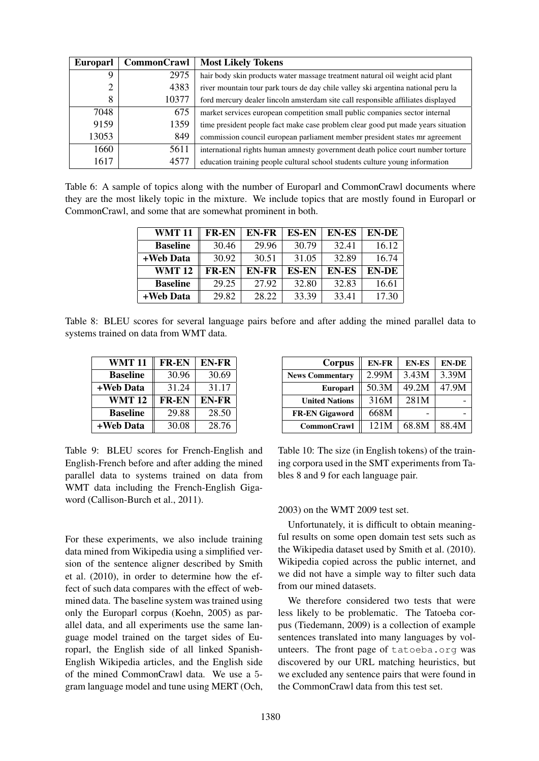| <b>Europarl</b> | <b>CommonCrawl</b> | <b>Most Likely Tokens</b>                                                         |
|-----------------|--------------------|-----------------------------------------------------------------------------------|
| Q               | 2975               | hair body skin products water massage treatment natural oil weight acid plant     |
| 2               | 4383               | river mountain tour park tours de day chile valley ski argentina national peru la |
| 8               | 10377              | ford mercury dealer lincoln amsterdam site call responsible affiliates displayed  |
| 7048            | 675                | market services european competition small public companies sector internal       |
| 9159            | 1359               | time president people fact make case problem clear good put made years situation  |
| 13053           | 849                | commission council european parliament member president states mr agreement       |
| 1660            | 5611               | international rights human amnesty government death police court number torture   |
| 1617            | 4577               | education training people cultural school students culture young information      |

Table 6: A sample of topics along with the number of Europarl and CommonCrawl documents where they are the most likely topic in the mixture. We include topics that are mostly found in Europarl or CommonCrawl, and some that are somewhat prominent in both.

| <b>WMT11</b>    | <b>FR-EN</b> | <b>EN-FR</b> | <b>ES-EN</b> | <b>EN-ES</b> | <b>EN-DE</b> |
|-----------------|--------------|--------------|--------------|--------------|--------------|
| <b>Baseline</b> | 30.46        | 29.96        | 30.79        | 32.41        | 16.12        |
| +Web Data       | 30.92        | 30.51        | 31.05        | 32.89        | 16.74        |
| <b>WMT12</b>    | <b>FR-EN</b> | EN-FR        | <b>ES-EN</b> | <b>EN-ES</b> | <b>EN-DE</b> |
| <b>Baseline</b> | 29.25        | 27.92        | 32.80        | 32.83        | 16.61        |
| +Web Data       | 29.82        | 28.22        | 33.39        | 33.41        | 17.30        |

Table 8: BLEU scores for several language pairs before and after adding the mined parallel data to systems trained on data from WMT data.

| WMT 11          | <b>FR-EN</b> | <b>EN-FR</b> |
|-----------------|--------------|--------------|
| <b>Baseline</b> | 30.96        | 30.69        |
| +Web Data       | 31.24        | 31.17        |
| <b>WMT 12</b>   | <b>FR-EN</b> | EN-FR        |
| <b>Baseline</b> | 29.88        | 28.50        |
| +Web Data       | 30.08        | 28.76        |

| Corpus                 | <b>EN-FR</b> | <b>EN-ES</b> | <b>EN-DE</b> |
|------------------------|--------------|--------------|--------------|
| <b>News Commentary</b> | 2.99M        | 3.43M        | 3.39M        |
| Europarl               | 50.3M        | 49.2M        | 47.9M        |
| <b>United Nations</b>  | 316M         | 281M         |              |
| <b>FR-EN Gigaword</b>  | 668M         |              |              |
| <b>CommonCrawl</b>     | 121M         | 68.8M        | 88.4M        |

Table 9: BLEU scores for French-English and English-French before and after adding the mined parallel data to systems trained on data from WMT data including the French-English Gigaword (Callison-Burch et al., 2011).

For these experiments, we also include training data mined from Wikipedia using a simplified version of the sentence aligner described by Smith et al. (2010), in order to determine how the effect of such data compares with the effect of webmined data. The baseline system was trained using only the Europarl corpus (Koehn, 2005) as parallel data, and all experiments use the same language model trained on the target sides of Europarl, the English side of all linked Spanish-English Wikipedia articles, and the English side of the mined CommonCrawl data. We use a 5 gram language model and tune using MERT (Och,

Table 10: The size (in English tokens) of the training corpora used in the SMT experiments from Tables 8 and 9 for each language pair.

### 2003) on the WMT 2009 test set.

Unfortunately, it is difficult to obtain meaningful results on some open domain test sets such as the Wikipedia dataset used by Smith et al. (2010). Wikipedia copied across the public internet, and we did not have a simple way to filter such data from our mined datasets.

We therefore considered two tests that were less likely to be problematic. The Tatoeba corpus (Tiedemann, 2009) is a collection of example sentences translated into many languages by volunteers. The front page of tatoeba.org was discovered by our URL matching heuristics, but we excluded any sentence pairs that were found in the CommonCrawl data from this test set.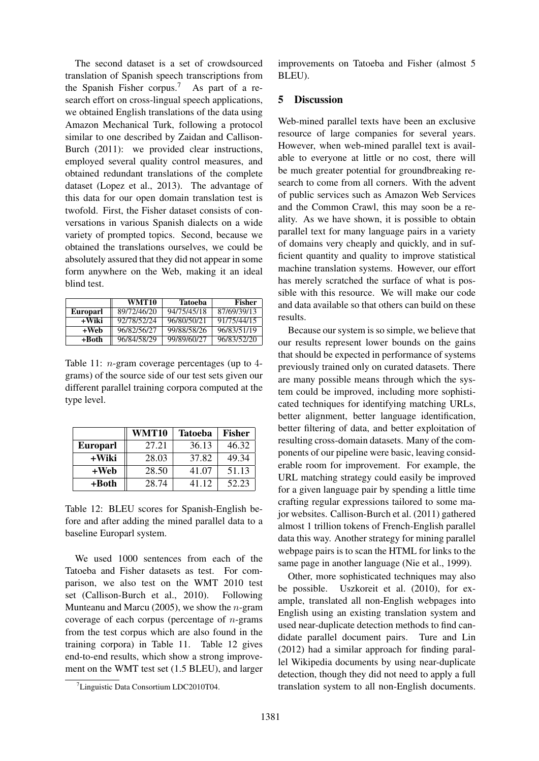The second dataset is a set of crowdsourced translation of Spanish speech transcriptions from the Spanish Fisher corpus.<sup>7</sup> As part of a research effort on cross-lingual speech applications, we obtained English translations of the data using Amazon Mechanical Turk, following a protocol similar to one described by Zaidan and Callison-Burch (2011): we provided clear instructions, employed several quality control measures, and obtained redundant translations of the complete dataset (Lopez et al., 2013). The advantage of this data for our open domain translation test is twofold. First, the Fisher dataset consists of conversations in various Spanish dialects on a wide variety of prompted topics. Second, because we obtained the translations ourselves, we could be absolutely assured that they did not appear in some form anywhere on the Web, making it an ideal blind test.

|                 | WMT10       | Tatoeba     | <b>Fisher</b> |
|-----------------|-------------|-------------|---------------|
| <b>Europarl</b> | 89/72/46/20 | 94/75/45/18 | 87/69/39/13   |
| +Wiki           | 92/78/52/24 | 96/80/50/21 | 91/75/44/15   |
| +Web            | 96/82/56/27 | 99/88/58/26 | 96/83/51/19   |
| +Both           | 96/84/58/29 | 99/89/60/27 | 96/83/52/20   |

Table 11: n-gram coverage percentages (up to 4 grams) of the source side of our test sets given our different parallel training corpora computed at the type level.

|                 | WMT10 | <b>Tatoeba</b> | <b>Fisher</b> |
|-----------------|-------|----------------|---------------|
| <b>Europarl</b> | 27.21 | 36.13          | 46.32         |
| +Wiki           | 28.03 | 37.82          | 49.34         |
| $+$ Web         | 28.50 | 41.07          | 51.13         |
| +Both           | 28.74 | 41.12          | 52.23         |

Table 12: BLEU scores for Spanish-English before and after adding the mined parallel data to a baseline Europarl system.

We used 1000 sentences from each of the Tatoeba and Fisher datasets as test. For comparison, we also test on the WMT 2010 test set (Callison-Burch et al., 2010). Following Munteanu and Marcu (2005), we show the  $n$ -gram coverage of each corpus (percentage of  $n$ -grams) from the test corpus which are also found in the training corpora) in Table 11. Table 12 gives end-to-end results, which show a strong improvement on the WMT test set (1.5 BLEU), and larger

improvements on Tatoeba and Fisher (almost 5 BLEU).

#### 5 Discussion

Web-mined parallel texts have been an exclusive resource of large companies for several years. However, when web-mined parallel text is available to everyone at little or no cost, there will be much greater potential for groundbreaking research to come from all corners. With the advent of public services such as Amazon Web Services and the Common Crawl, this may soon be a reality. As we have shown, it is possible to obtain parallel text for many language pairs in a variety of domains very cheaply and quickly, and in sufficient quantity and quality to improve statistical machine translation systems. However, our effort has merely scratched the surface of what is possible with this resource. We will make our code and data available so that others can build on these results.

Because our system is so simple, we believe that our results represent lower bounds on the gains that should be expected in performance of systems previously trained only on curated datasets. There are many possible means through which the system could be improved, including more sophisticated techniques for identifying matching URLs, better alignment, better language identification, better filtering of data, and better exploitation of resulting cross-domain datasets. Many of the components of our pipeline were basic, leaving considerable room for improvement. For example, the URL matching strategy could easily be improved for a given language pair by spending a little time crafting regular expressions tailored to some major websites. Callison-Burch et al. (2011) gathered almost 1 trillion tokens of French-English parallel data this way. Another strategy for mining parallel webpage pairs is to scan the HTML for links to the same page in another language (Nie et al., 1999).

Other, more sophisticated techniques may also be possible. Uszkoreit et al. (2010), for example, translated all non-English webpages into English using an existing translation system and used near-duplicate detection methods to find candidate parallel document pairs. Ture and Lin (2012) had a similar approach for finding parallel Wikipedia documents by using near-duplicate detection, though they did not need to apply a full translation system to all non-English documents.

<sup>&</sup>lt;sup>7</sup>Linguistic Data Consortium LDC2010T04.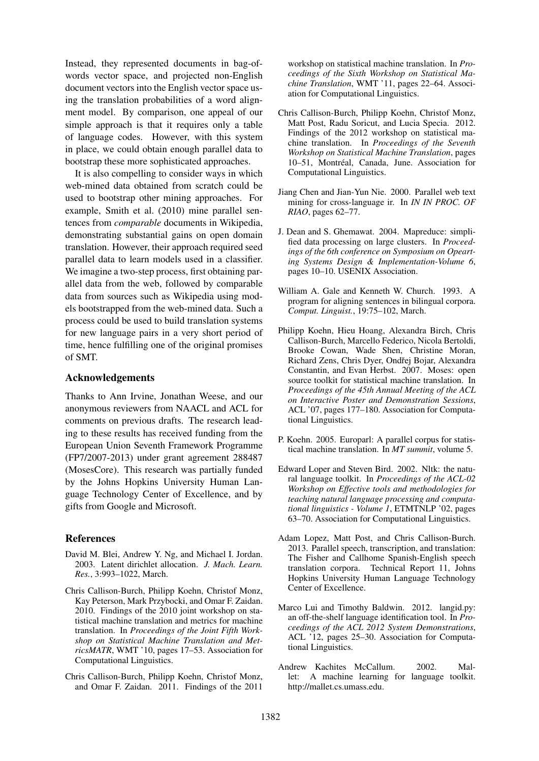Instead, they represented documents in bag-ofwords vector space, and projected non-English document vectors into the English vector space using the translation probabilities of a word alignment model. By comparison, one appeal of our simple approach is that it requires only a table of language codes. However, with this system in place, we could obtain enough parallel data to bootstrap these more sophisticated approaches.

It is also compelling to consider ways in which web-mined data obtained from scratch could be used to bootstrap other mining approaches. For example, Smith et al. (2010) mine parallel sentences from *comparable* documents in Wikipedia, demonstrating substantial gains on open domain translation. However, their approach required seed parallel data to learn models used in a classifier. We imagine a two-step process, first obtaining parallel data from the web, followed by comparable data from sources such as Wikipedia using models bootstrapped from the web-mined data. Such a process could be used to build translation systems for new language pairs in a very short period of time, hence fulfilling one of the original promises of SMT.

#### Acknowledgements

Thanks to Ann Irvine, Jonathan Weese, and our anonymous reviewers from NAACL and ACL for comments on previous drafts. The research leading to these results has received funding from the European Union Seventh Framework Programme (FP7/2007-2013) under grant agreement 288487 (MosesCore). This research was partially funded by the Johns Hopkins University Human Language Technology Center of Excellence, and by gifts from Google and Microsoft.

## References

- David M. Blei, Andrew Y. Ng, and Michael I. Jordan. 2003. Latent dirichlet allocation. *J. Mach. Learn. Res.*, 3:993–1022, March.
- Chris Callison-Burch, Philipp Koehn, Christof Monz, Kay Peterson, Mark Przybocki, and Omar F. Zaidan. 2010. Findings of the 2010 joint workshop on statistical machine translation and metrics for machine translation. In *Proceedings of the Joint Fifth Workshop on Statistical Machine Translation and MetricsMATR*, WMT '10, pages 17–53. Association for Computational Linguistics.
- Chris Callison-Burch, Philipp Koehn, Christof Monz, and Omar F. Zaidan. 2011. Findings of the 2011

workshop on statistical machine translation. In *Proceedings of the Sixth Workshop on Statistical Machine Translation*, WMT '11, pages 22–64. Association for Computational Linguistics.

- Chris Callison-Burch, Philipp Koehn, Christof Monz, Matt Post, Radu Soricut, and Lucia Specia. 2012. Findings of the 2012 workshop on statistical machine translation. In *Proceedings of the Seventh Workshop on Statistical Machine Translation*, pages 10–51, Montréal, Canada, June. Association for Computational Linguistics.
- Jiang Chen and Jian-Yun Nie. 2000. Parallel web text mining for cross-language ir. In *IN IN PROC. OF RIAO*, pages 62–77.
- J. Dean and S. Ghemawat. 2004. Mapreduce: simplified data processing on large clusters. In *Proceedings of the 6th conference on Symposium on Opearting Systems Design & Implementation-Volume 6*, pages 10–10. USENIX Association.
- William A. Gale and Kenneth W. Church. 1993. A program for aligning sentences in bilingual corpora. *Comput. Linguist.*, 19:75–102, March.
- Philipp Koehn, Hieu Hoang, Alexandra Birch, Chris Callison-Burch, Marcello Federico, Nicola Bertoldi, Brooke Cowan, Wade Shen, Christine Moran, Richard Zens, Chris Dyer, Ondřej Bojar, Alexandra Constantin, and Evan Herbst. 2007. Moses: open source toolkit for statistical machine translation. In *Proceedings of the 45th Annual Meeting of the ACL on Interactive Poster and Demonstration Sessions*, ACL '07, pages 177–180. Association for Computational Linguistics.
- P. Koehn. 2005. Europarl: A parallel corpus for statistical machine translation. In *MT summit*, volume 5.
- Edward Loper and Steven Bird. 2002. Nltk: the natural language toolkit. In *Proceedings of the ACL-02 Workshop on Effective tools and methodologies for teaching natural language processing and computational linguistics - Volume 1*, ETMTNLP '02, pages 63–70. Association for Computational Linguistics.
- Adam Lopez, Matt Post, and Chris Callison-Burch. 2013. Parallel speech, transcription, and translation: The Fisher and Callhome Spanish-English speech translation corpora. Technical Report 11, Johns Hopkins University Human Language Technology Center of Excellence.
- Marco Lui and Timothy Baldwin. 2012. langid.py: an off-the-shelf language identification tool. In *Proceedings of the ACL 2012 System Demonstrations*, ACL '12, pages 25–30. Association for Computational Linguistics.
- Andrew Kachites McCallum. 2002. Mallet: A machine learning for language toolkit. http://mallet.cs.umass.edu.